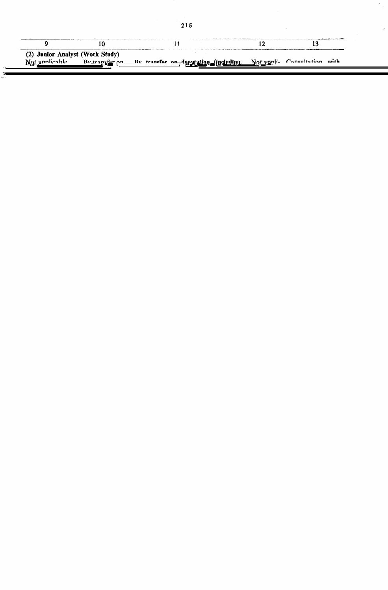| (2) Junior Analyst (Work Study)<br>Natannlicable<br>By transfer on<br>Ry transfer on deputation (including Not annli. Consultation with |  | 13 | 12 |  | 11 | 10 | 9 |
|-----------------------------------------------------------------------------------------------------------------------------------------|--|----|----|--|----|----|---|
|                                                                                                                                         |  |    |    |  |    |    |   |
|                                                                                                                                         |  |    |    |  |    |    |   |
|                                                                                                                                         |  |    |    |  |    |    |   |
|                                                                                                                                         |  |    |    |  |    |    |   |
|                                                                                                                                         |  |    |    |  |    |    |   |
|                                                                                                                                         |  |    |    |  |    |    |   |
|                                                                                                                                         |  |    |    |  |    |    |   |
|                                                                                                                                         |  |    |    |  |    |    |   |
|                                                                                                                                         |  |    |    |  |    |    |   |
|                                                                                                                                         |  |    |    |  |    |    |   |
|                                                                                                                                         |  |    |    |  |    |    |   |
| $\sim$ $-$                                                                                                                              |  |    |    |  |    |    |   |

## $\sigma$ , its equivalent on a regular or its equivalent on a regular or  $\sigma$

basis, or

a degree or a recognised Omversit or its equivalent,

service and should be holding and should be holding and should be holding and post carrying the scale of Rs. 650-

of  $R$  and  $R$  and  $R$  and  $R$  and  $R$  and  $R$  and  $R$  and  $R$  and  $R$  and  $R$  or  $R$ rendered service and should be holding a post carrying the scale of Rs. 650- $1200$  or its equivalent on a regular basis, or  $\alpha$ sis, or

rendered at least 8 years regular service in posts carrying the scale of Rs. 425-800/Rs. 425-700 or equivalent,  $\epsilon$ quivalent,

 $\mu$  completed successionly, or be engine to undergo, the Advanced Management Services Course of the Institute of Secretariat Training and Management, Defence Institute of Work Study or a comparable training in any other recognised institution.

If an officer who has not already undergone the said course is selected, he shall be required to undergo the said course at the earliest and his continued retention in the post shall be subject to the condition that he completes the said course success-<br>fully within one year of the date of his appointment.

(Period of deputation including period of deputation spent in any other excadre post held immediately preceding this appointment in any other Government Department shall not  $exceed. \dots years).$ 

the Ministry/Department of failing which officers in other Ministries/Departments of the Central Govt. who shall have

(i) a degree of a recognised University or its equivalent;

The Union Public **Not** Service Commission applicable shall be consulted while amending/ relaxing any of the provisions of thes rules.

rules.

rules.

Undertaking etc. for appointment

deputation/contract and for amending/ relaxing any of the provisions of these

 $\alpha$ 

**EXPLANATION** 

(3) Research Assistant (Work Study) By transfer Not applicable on deputation